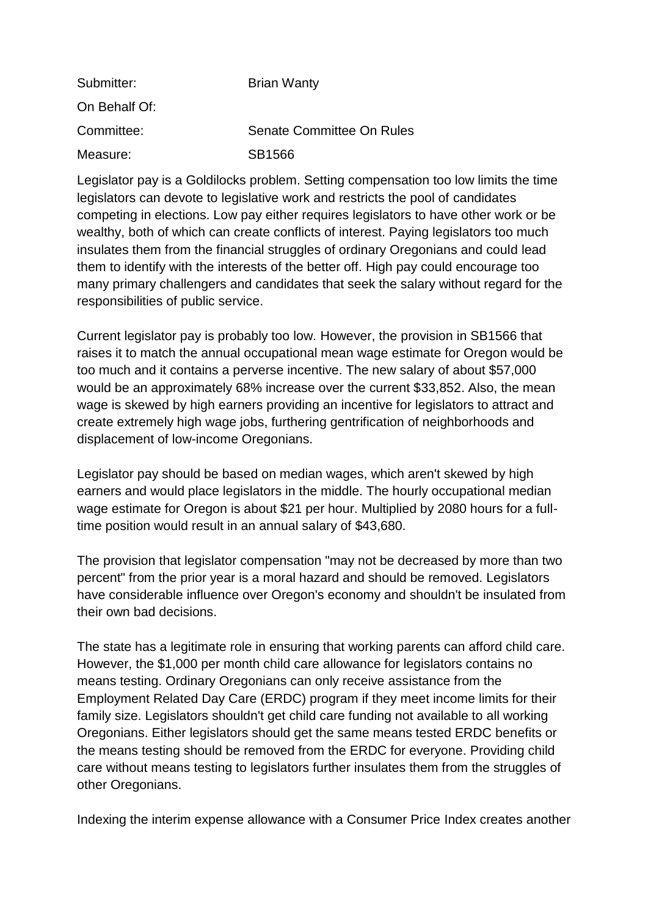| Submitter:    | <b>Brian Wanty</b>        |
|---------------|---------------------------|
| On Behalf Of: |                           |
| Committee:    | Senate Committee On Rules |
| Measure:      | SB1566                    |

Legislator pay is a Goldilocks problem. Setting compensation too low limits the time legislators can devote to legislative work and restricts the pool of candidates competing in elections. Low pay either requires legislators to have other work or be wealthy, both of which can create conflicts of interest. Paying legislators too much insulates them from the financial struggles of ordinary Oregonians and could lead them to identify with the interests of the better off. High pay could encourage too many primary challengers and candidates that seek the salary without regard for the responsibilities of public service.

Current legislator pay is probably too low. However, the provision in SB1566 that raises it to match the annual occupational mean wage estimate for Oregon would be too much and it contains a perverse incentive. The new salary of about \$57,000 would be an approximately 68% increase over the current \$33,852. Also, the mean wage is skewed by high earners providing an incentive for legislators to attract and create extremely high wage jobs, furthering gentrification of neighborhoods and displacement of low-income Oregonians.

Legislator pay should be based on median wages, which aren't skewed by high earners and would place legislators in the middle. The hourly occupational median wage estimate for Oregon is about \$21 per hour. Multiplied by 2080 hours for a fulltime position would result in an annual salary of \$43,680.

The provision that legislator compensation "may not be decreased by more than two percent" from the prior year is a moral hazard and should be removed. Legislators have considerable influence over Oregon's economy and shouldn't be insulated from their own bad decisions.

The state has a legitimate role in ensuring that working parents can afford child care. However, the \$1,000 per month child care allowance for legislators contains no means testing. Ordinary Oregonians can only receive assistance from the Employment Related Day Care (ERDC) program if they meet income limits for their family size. Legislators shouldn't get child care funding not available to all working Oregonians. Either legislators should get the same means tested ERDC benefits or the means testing should be removed from the ERDC for everyone. Providing child care without means testing to legislators further insulates them from the struggles of other Oregonians.

Indexing the interim expense allowance with a Consumer Price Index creates another